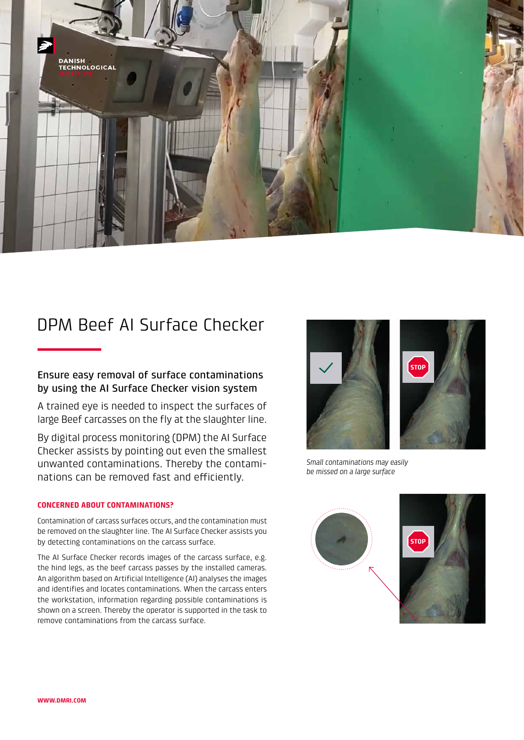

# DPM Beef AI Surface Checker

# Ensure easy removal of surface contaminations by using the AI Surface Checker vision system

A trained eye is needed to inspect the surfaces of large Beef carcasses on the fly at the slaughter line.

By digital process monitoring (DPM) the AI Surface Checker assists by pointing out even the smallest unwanted contaminations. Thereby the contaminations can be removed fast and efficiently.

## **CONCERNED ABOUT CONTAMINATIONS?**

Contamination of carcass surfaces occurs, and the contamination must be removed on the slaughter line. The AI Surface Checker assists you by detecting contaminations on the carcass surface.

The AI Surface Checker records images of the carcass surface, e.g. the hind legs, as the beef carcass passes by the installed cameras. An algorithm based on Artificial Intelligence (AI) analyses the images and identifies and locates contaminations. When the carcass enters the workstation, information regarding possible contaminations is shown on a screen. Thereby the operator is supported in the task to remove contaminations from the carcass surface.



*Small contaminations may easily be missed on a large surface*